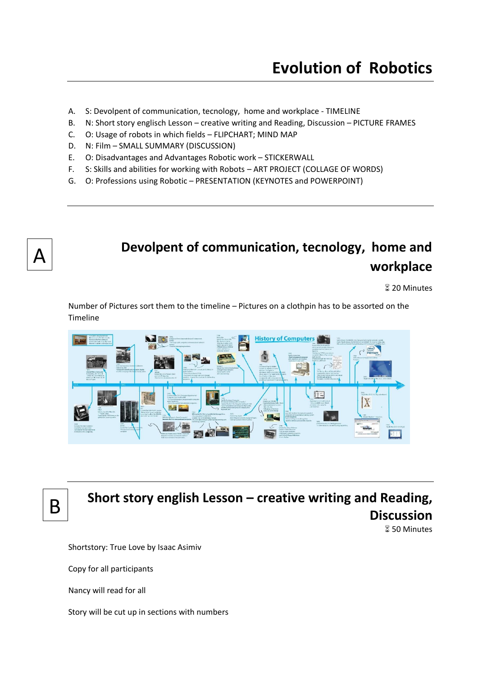- A. S: Devolpent of communication, tecnology, home and workplace TIMELINE
- B. N: Short story englisch Lesson creative writing and Reading, Discussion PICTURE FRAMES
- C. O: Usage of robots in which fields FLIPCHART; MIND MAP
- D. N: Film SMALL SUMMARY (DISCUSSION)
- E. O: Disadvantages and Advantages Robotic work STICKERWALL
- F. S: Skills and abilities for working with Robots ART PROJECT (COLLAGE OF WORDS)
- G. O: Professions using Robotic PRESENTATION (KEYNOTES and POWERPOINT)



## **Devolpent of communication, tecnology, home and workplace**

**20 Minutes** 

Number of Pictures sort them to the timeline – Pictures on a clothpin has to be assorted on the Timeline



B

# **Short story english Lesson – creative writing and Reading, Discussion**

**850 Minutes** 

Shortstory: True Love by Isaac Asimiv

Copy for all participants

Nancy will read for all

Story will be cut up in sections with numbers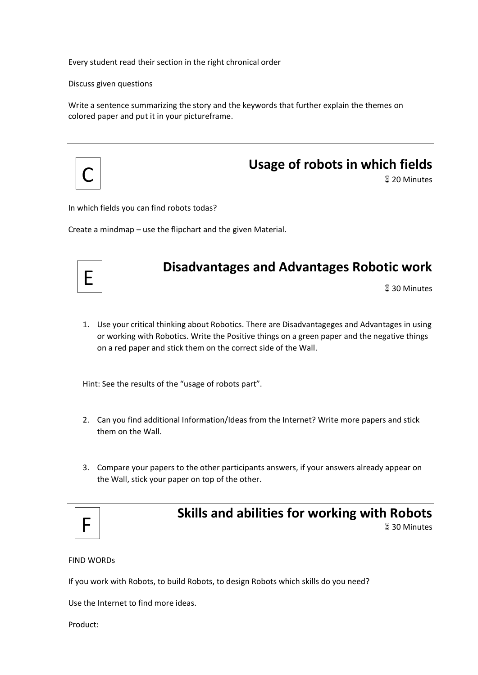Every student read their section in the right chronical order

Discuss given questions

Write a sentence summarizing the story and the keywords that further explain the themes on colored paper and put it in your pictureframe.



#### **Usage of robots in which fields**

**20 Minutes** 

In which fields you can find robots todas?

Create a mindmap – use the flipchart and the given Material.

#### **Disadvantages and Advantages Robotic work**

**830 Minutes** 

1. Use your critical thinking about Robotics. There are Disadvantageges and Advantages in using or working with Robotics. Write the Positive things on a green paper and the negative things on a red paper and stick them on the correct side of the Wall.

Hint: See the results of the "usage of robots part".

- 2. Can you find additional Information/Ideas from the Internet? Write more papers and stick them on the Wall.
- 3. Compare your papers to the other participants answers, if your answers already appear on the Wall, stick your paper on top of the other.

|--|

#### **Skills and abilities for working with Robots**

**830 Minutes** 

FIND WORDs

If you work with Robots, to build Robots, to design Robots which skills do you need?

Use the Internet to find more ideas.

Product: